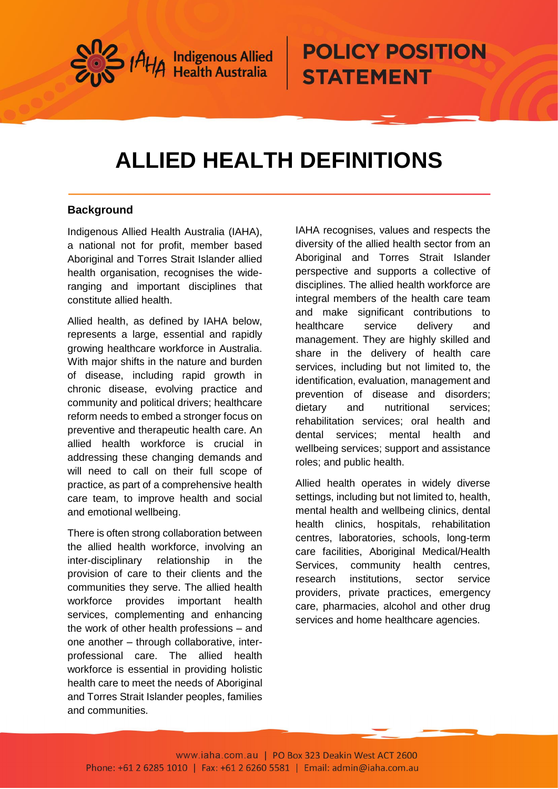

## **ALLIED HEALTH DEFINITIONS**

### **Background**

Indigenous Allied Health Australia (IAHA), a national not for profit, member based Aboriginal and Torres Strait Islander allied health organisation, recognises the wideranging and important disciplines that constitute allied health.

Allied health, as defined by IAHA below, represents a large, essential and rapidly growing healthcare workforce in Australia. With major shifts in the nature and burden of disease, including rapid growth in chronic disease, evolving practice and community and political drivers; healthcare reform needs to embed a stronger focus on preventive and therapeutic health care. An allied health workforce is crucial in addressing these changing demands and will need to call on their full scope of practice, as part of a comprehensive health care team, to improve health and social and emotional wellbeing.

There is often strong collaboration between the allied health workforce, involving an inter-disciplinary relationship in the provision of care to their clients and the communities they serve. The allied health workforce provides important health services, complementing and enhancing the work of other health professions – and one another – through collaborative, interprofessional care. The allied health workforce is essential in providing holistic health care to meet the needs of Aboriginal and Torres Strait Islander peoples, families and communities.

IAHA recognises, values and respects the diversity of the allied health sector from an Aboriginal and Torres Strait Islander perspective and supports a collective of disciplines. The allied health workforce are integral members of the health care team and make significant contributions to healthcare service delivery and management. They are highly skilled and share in the delivery of health care services, including but not limited to, the identification, evaluation, management and prevention of disease and disorders; dietary and nutritional services; rehabilitation services; oral health and dental services; mental health and wellbeing services; support and assistance roles; and public health.

Allied health operates in widely diverse settings, including but not limited to, health, mental health and wellbeing clinics, dental health clinics, hospitals, rehabilitation centres, laboratories, schools, long-term care facilities, Aboriginal Medical/Health Services, community health centres, research institutions, sector service providers, private practices, emergency care, pharmacies, alcohol and other drug services and home healthcare agencies.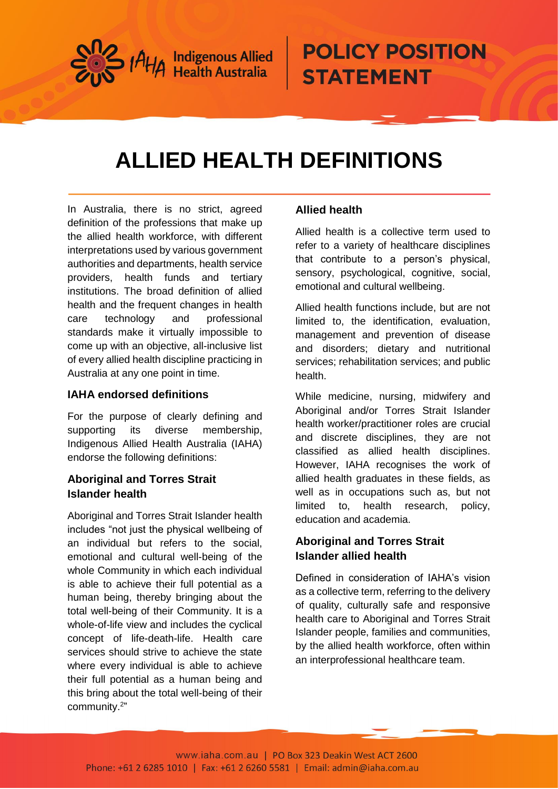

# **ALLIED HEALTH DEFINITIONS**

In Australia, there is no strict, agreed definition of the professions that make up the allied health workforce, with different interpretations used by various government authorities and departments, health service providers, health funds and tertiary institutions. The broad definition of allied health and the frequent changes in health care technology and professional standards make it virtually impossible to come up with an objective, all-inclusive list of every allied health discipline practicing in Australia at any one point in time.

#### **IAHA endorsed definitions**

For the purpose of clearly defining and supporting its diverse membership, Indigenous Allied Health Australia (IAHA) endorse the following definitions:

### **Aboriginal and Torres Strait Islander health**

Aboriginal and Torres Strait Islander health includes "not just the physical wellbeing of an individual but refers to the social, emotional and cultural well-being of the whole Community in which each individual is able to achieve their full potential as a human being, thereby bringing about the total well-being of their Community. It is a whole-of-life view and includes the cyclical concept of life-death-life. Health care services should strive to achieve the state where every individual is able to achieve their full potential as a human being and this bring about the total well-being of their community.<sup>2</sup> "

#### **Allied health**

Allied health is a collective term used to refer to a variety of healthcare disciplines that contribute to a person's physical, sensory, psychological, cognitive, social, emotional and cultural wellbeing.

Allied health functions include, but are not limited to, the identification, evaluation, management and prevention of disease and disorders; dietary and nutritional services; rehabilitation services; and public health.

While medicine, nursing, midwifery and Aboriginal and/or Torres Strait Islander health worker/practitioner roles are crucial and discrete disciplines, they are not classified as allied health disciplines. However, IAHA recognises the work of allied health graduates in these fields, as well as in occupations such as, but not limited to, health research, policy, education and academia.

### **Aboriginal and Torres Strait Islander allied health**

Defined in consideration of IAHA's vision as a collective term, referring to the delivery of quality, culturally safe and responsive health care to Aboriginal and Torres Strait Islander people, families and communities, by the allied health workforce, often within an interprofessional healthcare team.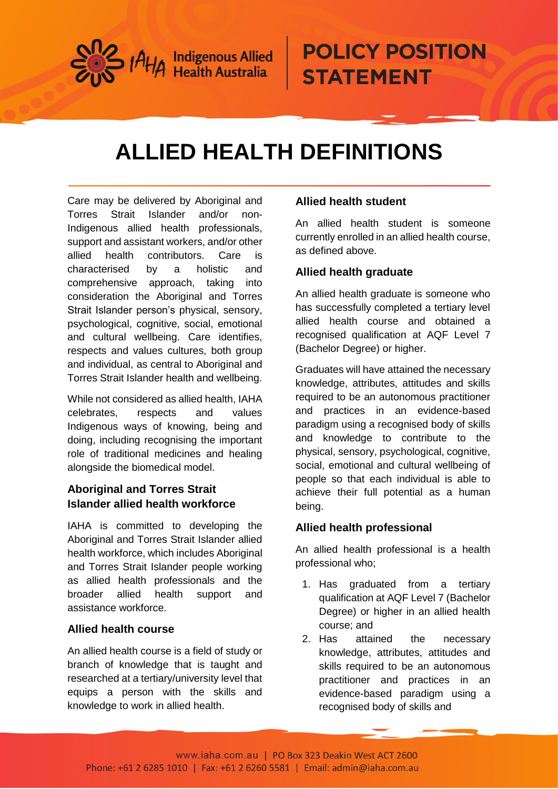

# **ALLIED HEALTH DEFINITIONS**

Care may be delivered by Aboriginal and Torres Strait Islander and/or non-Indigenous allied health professionals, support and assistant workers, and/or other allied health contributors. Care is characterised by a holistic and comprehensive approach, taking into consideration the Aboriginal and Torres Strait Islander person's physical, sensory, psychological, cognitive, social, emotional and cultural wellbeing. Care identifies, respects and values cultures, both group and individual, as central to Aboriginal and Torres Strait Islander health and wellbeing.

While not considered as allied health, IAHA celebrates, respects and values Indigenous ways of knowing, being and doing, including recognising the important role of traditional medicines and healing alongside the biomedical model.

### **Aboriginal and Torres Strait Islander allied health workforce**

IAHA is committed to developing the Aboriginal and Torres Strait Islander allied health workforce, which includes Aboriginal and Torres Strait Islander people working as allied health professionals and the broader allied health support and assistance workforce.

### **Allied health course**

An allied health course is a field of study or branch of knowledge that is taught and researched at a tertiary/university level that equips a person with the skills and knowledge to work in allied health.

### **Allied health student**

An allied health student is someone currently enrolled in an allied health course, as defined above.

### **Allied health graduate**

An allied health graduate is someone who has successfully completed a tertiary level allied health course and obtained a recognised qualification at AQF Level 7 (Bachelor Degree) or higher.

Graduates will have attained the necessary knowledge, attributes, attitudes and skills required to be an autonomous practitioner and practices in an evidence-based paradigm using a recognised body of skills and knowledge to contribute to the physical, sensory, psychological, cognitive, social, emotional and cultural wellbeing of people so that each individual is able to achieve their full potential as a human being.

### **Allied health professional**

An allied health professional is a health professional who;

- 1. Has graduated from a tertiary qualification at AQF Level 7 (Bachelor Degree) or higher in an allied health course; and
- 2. Has attained the necessary knowledge, attributes, attitudes and skills required to be an autonomous practitioner and practices in an evidence-based paradigm using a recognised body of skills and